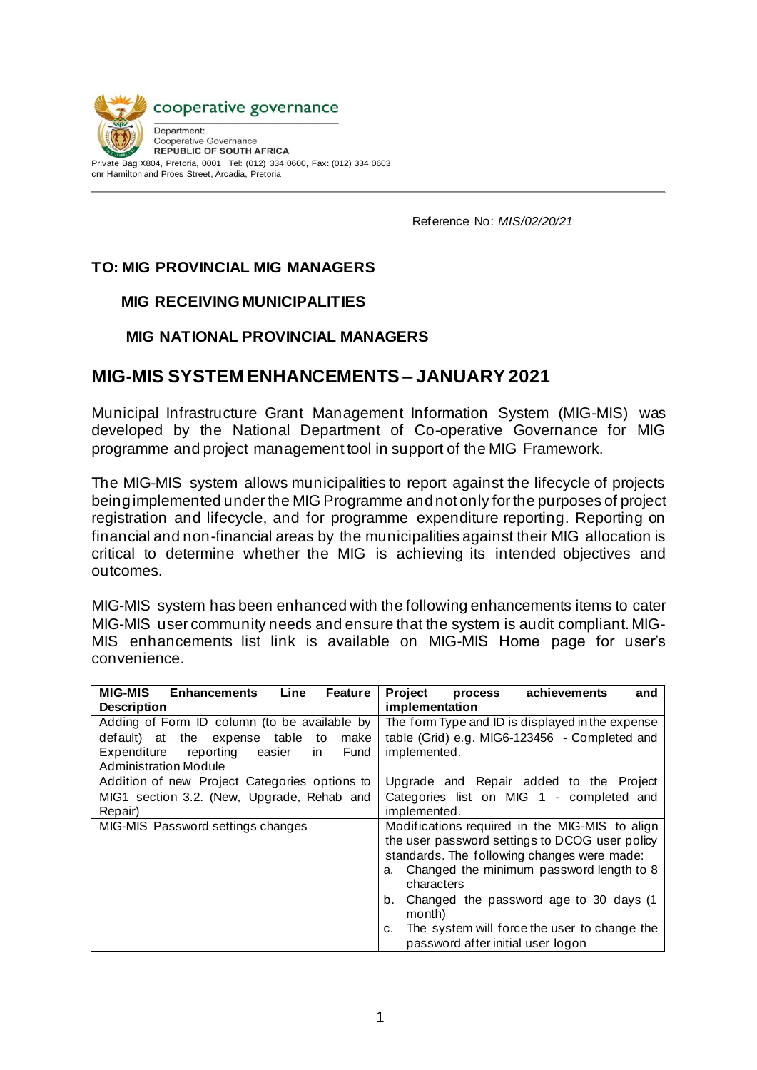

Reference No: *MIS/02/20/21*

# **TO: MIG PROVINCIAL MIG MANAGERS**

#### **MIG RECEIVING MUNICIPALITIES**

#### **MIG NATIONAL PROVINCIAL MANAGERS**

# **MIG-MIS SYSTEM ENHANCEMENTS – JANUARY 2021**

Municipal Infrastructure Grant Management Information System (MIG-MIS) was developed by the National Department of Co-operative Governance for MIG programme and project management tool in support of the MIG Framework.

The MIG-MIS system allows municipalities to report against the lifecycle of projects being implemented under the MIG Programme and not only for the purposes of project registration and lifecycle, and for programme expenditure reporting. Reporting on financial and non-financial areas by the municipalities against their MIG allocation is critical to determine whether the MIG is achieving its intended objectives and outcomes.

MIG-MIS system has been enhanced with the following enhancements items to cater MIG-MIS user community needs and ensure that the system is audit compliant. MIG-MIS enhancements list link is available on MIG-MIS Home page for user's convenience.

| <b>MIG-MIS</b><br><b>Enhancements</b><br>Line<br>Feature | <b>Project</b><br>achievements<br>and<br>process   |
|----------------------------------------------------------|----------------------------------------------------|
| <b>Description</b>                                       | implementation                                     |
| Adding of Form ID column (to be available by             | The form Type and ID is displayed in the expense   |
| expense table<br>make<br>default) at the<br>to           | table (Grid) e.g. MIG6-123456 - Completed and      |
| Expenditure<br>reporting<br>Fund<br>easier<br>in.        | implemented.                                       |
| <b>Administration Module</b>                             |                                                    |
| Addition of new Project Categories options to            | Upgrade and Repair added to the Project            |
| MIG1 section 3.2. (New, Upgrade, Rehab and               | Categories list on MIG 1 - completed and           |
| Repair)                                                  | implemented.                                       |
| MIG-MIS Password settings changes                        | Modifications required in the MIG-MIS to align     |
|                                                          | the user password settings to DCOG user policy     |
|                                                          | standards. The following changes were made:        |
|                                                          | Changed the minimum password length to 8<br>a.     |
|                                                          | characters                                         |
|                                                          | Changed the password age to 30 days (1)<br>b.      |
|                                                          | month)                                             |
|                                                          | The system will force the user to change the<br>c. |
|                                                          | password after initial user logon                  |